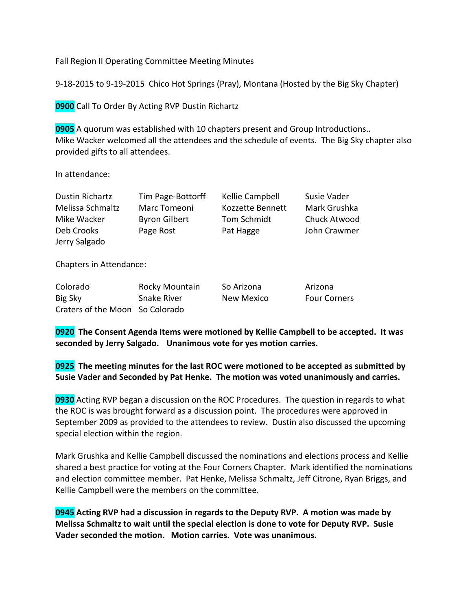Fall Region II Operating Committee Meeting Minutes

9-18-2015 to 9-19-2015 Chico Hot Springs (Pray), Montana (Hosted by the Big Sky Chapter)

**0900** Call To Order By Acting RVP Dustin Richartz

**0905** A quorum was established with 10 chapters present and Group Introductions.. Mike Wacker welcomed all the attendees and the schedule of events. The Big Sky chapter also provided gifts to all attendees.

In attendance:

| Dustin Richartz  | Tim Page-Bottorff    | Kellie Campbell  | Susie Vader  |
|------------------|----------------------|------------------|--------------|
| Melissa Schmaltz | Marc Tomeoni         | Kozzette Bennett | Mark Grushka |
| Mike Wacker      | <b>Byron Gilbert</b> | Tom Schmidt      | Chuck Atwood |
| Deb Crooks       | Page Rost            | Pat Hagge        | John Crawmer |
| Jerry Salgado    |                      |                  |              |

Chapters in Attendance:

| Colorado                        | Rocky Mountain | So Arizona | Arizona             |
|---------------------------------|----------------|------------|---------------------|
| Big Sky                         | Snake River    | New Mexico | <b>Four Corners</b> |
| Craters of the Moon So Colorado |                |            |                     |

**0920 The Consent Agenda Items were motioned by Kellie Campbell to be accepted. It was seconded by Jerry Salgado. Unanimous vote for yes motion carries.**

**0925 The meeting minutes for the last ROC were motioned to be accepted as submitted by Susie Vader and Seconded by Pat Henke. The motion was voted unanimously and carries.**

**0930** Acting RVP began a discussion on the ROC Procedures. The question in regards to what the ROC is was brought forward as a discussion point. The procedures were approved in September 2009 as provided to the attendees to review. Dustin also discussed the upcoming special election within the region.

Mark Grushka and Kellie Campbell discussed the nominations and elections process and Kellie shared a best practice for voting at the Four Corners Chapter. Mark identified the nominations and election committee member. Pat Henke, Melissa Schmaltz, Jeff Citrone, Ryan Briggs, and Kellie Campbell were the members on the committee.

**0945 Acting RVP had a discussion in regards to the Deputy RVP. A motion was made by Melissa Schmaltz to wait until the special election is done to vote for Deputy RVP. Susie Vader seconded the motion. Motion carries. Vote was unanimous.**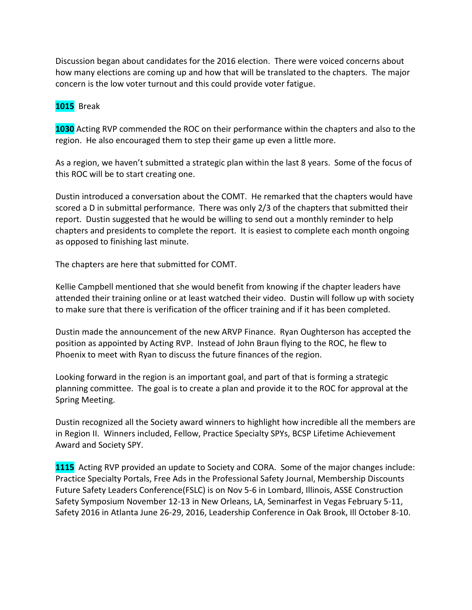Discussion began about candidates for the 2016 election. There were voiced concerns about how many elections are coming up and how that will be translated to the chapters. The major concern is the low voter turnout and this could provide voter fatigue.

## **1015** Break

**1030** Acting RVP commended the ROC on their performance within the chapters and also to the region. He also encouraged them to step their game up even a little more.

As a region, we haven't submitted a strategic plan within the last 8 years. Some of the focus of this ROC will be to start creating one.

Dustin introduced a conversation about the COMT. He remarked that the chapters would have scored a D in submittal performance. There was only 2/3 of the chapters that submitted their report. Dustin suggested that he would be willing to send out a monthly reminder to help chapters and presidents to complete the report. It is easiest to complete each month ongoing as opposed to finishing last minute.

The chapters are here that submitted for COMT.

Kellie Campbell mentioned that she would benefit from knowing if the chapter leaders have attended their training online or at least watched their video. Dustin will follow up with society to make sure that there is verification of the officer training and if it has been completed.

Dustin made the announcement of the new ARVP Finance. Ryan Oughterson has accepted the position as appointed by Acting RVP. Instead of John Braun flying to the ROC, he flew to Phoenix to meet with Ryan to discuss the future finances of the region.

Looking forward in the region is an important goal, and part of that is forming a strategic planning committee. The goal is to create a plan and provide it to the ROC for approval at the Spring Meeting.

Dustin recognized all the Society award winners to highlight how incredible all the members are in Region II. Winners included, Fellow, Practice Specialty SPYs, BCSP Lifetime Achievement Award and Society SPY.

**1115** Acting RVP provided an update to Society and CORA. Some of the major changes include: Practice Specialty Portals, Free Ads in the Professional Safety Journal, Membership Discounts Future Safety Leaders Conference(FSLC) is on Nov 5-6 in Lombard, Illinois, ASSE Construction Safety Symposium November 12-13 in New Orleans, LA, Seminarfest in Vegas February 5-11, Safety 2016 in Atlanta June 26-29, 2016, Leadership Conference in Oak Brook, Ill October 8-10.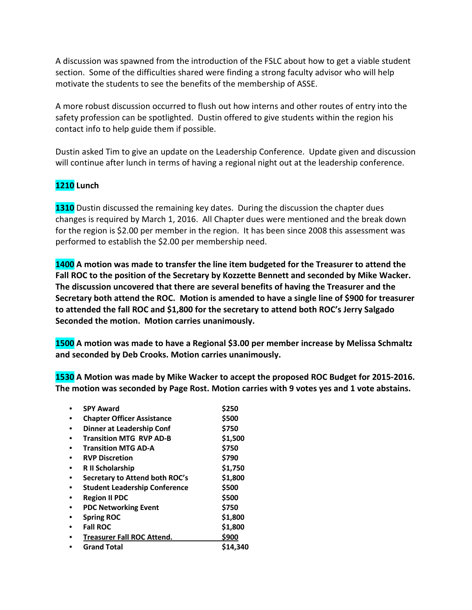A discussion was spawned from the introduction of the FSLC about how to get a viable student section. Some of the difficulties shared were finding a strong faculty advisor who will help motivate the students to see the benefits of the membership of ASSE.

A more robust discussion occurred to flush out how interns and other routes of entry into the safety profession can be spotlighted. Dustin offered to give students within the region his contact info to help guide them if possible.

Dustin asked Tim to give an update on the Leadership Conference. Update given and discussion will continue after lunch in terms of having a regional night out at the leadership conference.

# **1210 Lunch**

**1310** Dustin discussed the remaining key dates. During the discussion the chapter dues changes is required by March 1, 2016. All Chapter dues were mentioned and the break down for the region is \$2.00 per member in the region. It has been since 2008 this assessment was performed to establish the \$2.00 per membership need.

**1400 A motion was made to transfer the line item budgeted for the Treasurer to attend the Fall ROC to the position of the Secretary by Kozzette Bennett and seconded by Mike Wacker. The discussion uncovered that there are several benefits of having the Treasurer and the Secretary both attend the ROC. Motion is amended to have a single line of \$900 for treasurer to attended the fall ROC and \$1,800 for the secretary to attend both ROC's Jerry Salgado Seconded the motion. Motion carries unanimously.**

**1500 A motion was made to have a Regional \$3.00 per member increase by Melissa Schmaltz and seconded by Deb Crooks. Motion carries unanimously.** 

**1530 A Motion was made by Mike Wacker to accept the proposed ROC Budget for 2015-2016. The motion was seconded by Page Rost. Motion carries with 9 votes yes and 1 vote abstains.** 

| <b>SPY Award</b>                     | \$250    |
|--------------------------------------|----------|
| <b>Chapter Officer Assistance</b>    | \$500    |
| Dinner at Leadership Conf            | \$750    |
| <b>Transition MTG RVP AD-B</b>       | \$1,500  |
| <b>Transition MTG AD-A</b>           | \$750    |
| <b>RVP Discretion</b>                | \$790    |
| <b>R</b> II Scholarship              | \$1,750  |
| Secretary to Attend both ROC's       | \$1,800  |
| <b>Student Leadership Conference</b> | \$500    |
| <b>Region II PDC</b>                 | \$500    |
| <b>PDC Networking Event</b>          | \$750    |
| <b>Spring ROC</b>                    | \$1,800  |
| <b>Fall ROC</b>                      | \$1,800  |
| <b>Treasurer Fall ROC Attend.</b>    | \$900    |
| <b>Grand Total</b>                   | \$14.340 |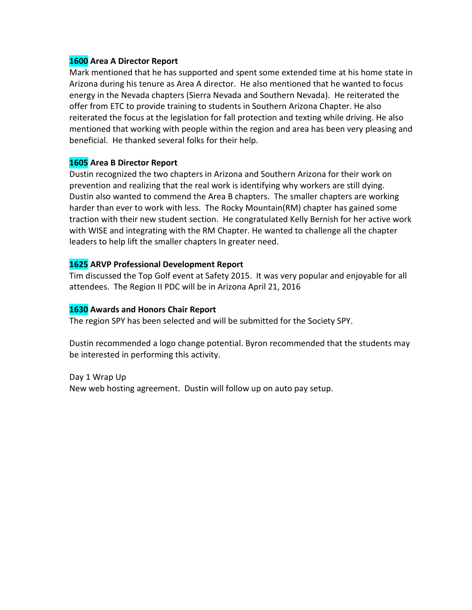#### **1600 Area A Director Report**

Mark mentioned that he has supported and spent some extended time at his home state in Arizona during his tenure as Area A director. He also mentioned that he wanted to focus energy in the Nevada chapters (Sierra Nevada and Southern Nevada). He reiterated the offer from ETC to provide training to students in Southern Arizona Chapter. He also reiterated the focus at the legislation for fall protection and texting while driving. He also mentioned that working with people within the region and area has been very pleasing and beneficial. He thanked several folks for their help.

## **1605 Area B Director Report**

Dustin recognized the two chapters in Arizona and Southern Arizona for their work on prevention and realizing that the real work is identifying why workers are still dying. Dustin also wanted to commend the Area B chapters. The smaller chapters are working harder than ever to work with less. The Rocky Mountain(RM) chapter has gained some traction with their new student section. He congratulated Kelly Bernish for her active work with WISE and integrating with the RM Chapter. He wanted to challenge all the chapter leaders to help lift the smaller chapters In greater need.

### **1625 ARVP Professional Development Report**

Tim discussed the Top Golf event at Safety 2015. It was very popular and enjoyable for all attendees. The Region II PDC will be in Arizona April 21, 2016

#### **1630 Awards and Honors Chair Report**

The region SPY has been selected and will be submitted for the Society SPY.

Dustin recommended a logo change potential. Byron recommended that the students may be interested in performing this activity.

Day 1 Wrap Up New web hosting agreement. Dustin will follow up on auto pay setup.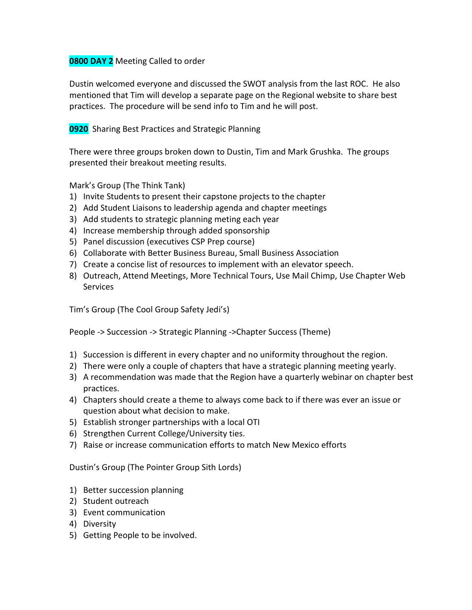### **0800 DAY 2** Meeting Called to order

Dustin welcomed everyone and discussed the SWOT analysis from the last ROC. He also mentioned that Tim will develop a separate page on the Regional website to share best practices. The procedure will be send info to Tim and he will post.

### **0920** Sharing Best Practices and Strategic Planning

There were three groups broken down to Dustin, Tim and Mark Grushka. The groups presented their breakout meeting results.

Mark's Group (The Think Tank)

- 1) Invite Students to present their capstone projects to the chapter
- 2) Add Student Liaisons to leadership agenda and chapter meetings
- 3) Add students to strategic planning meting each year
- 4) Increase membership through added sponsorship
- 5) Panel discussion (executives CSP Prep course)
- 6) Collaborate with Better Business Bureau, Small Business Association
- 7) Create a concise list of resources to implement with an elevator speech.
- 8) Outreach, Attend Meetings, More Technical Tours, Use Mail Chimp, Use Chapter Web Services

Tim's Group (The Cool Group Safety Jedi's)

People -> Succession -> Strategic Planning ->Chapter Success (Theme)

- 1) Succession is different in every chapter and no uniformity throughout the region.
- 2) There were only a couple of chapters that have a strategic planning meeting yearly.
- 3) A recommendation was made that the Region have a quarterly webinar on chapter best practices.
- 4) Chapters should create a theme to always come back to if there was ever an issue or question about what decision to make.
- 5) Establish stronger partnerships with a local OTI
- 6) Strengthen Current College/University ties.
- 7) Raise or increase communication efforts to match New Mexico efforts

Dustin's Group (The Pointer Group Sith Lords)

- 1) Better succession planning
- 2) Student outreach
- 3) Event communication
- 4) Diversity
- 5) Getting People to be involved.